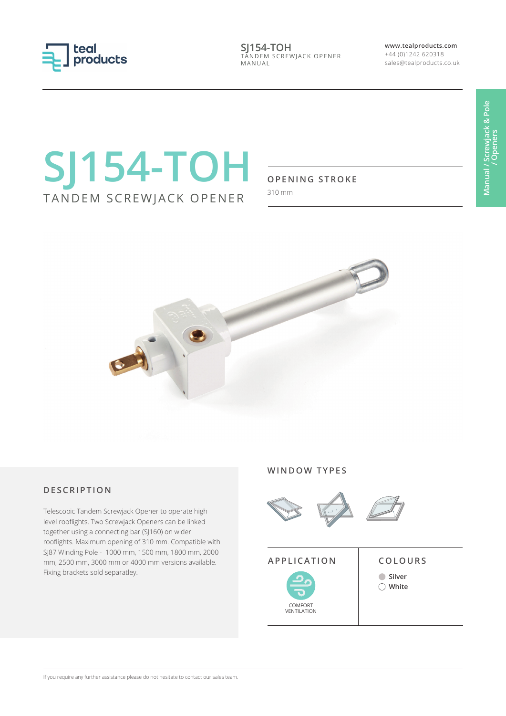

**SJ154-TOH** TANDEM SCREWJACK OPENER MANUAL

**www.tealproducts.com** +44 (0)1242 620318 sales@tealproducts.co.uk

# **SJ154-TOH** TANDEM SCREWJACK OPENER

#### **OPENING STROKE**

310 mm



### **DESCRIPTION**

Telescopic Tandem Screwjack Opener to operate high level rooflights. Two Screwjack Openers can be linked together using a connecting bar (SJ160) on wider rooflights. Maximum opening of 310 mm. Compatible with SJ87 Winding Pole - 1000 mm, 1500 mm, 1800 mm, 2000 mm, 2500 mm, 3000 mm or 4000 mm versions available. Fixing brackets sold separatley.

#### **WINDOW TYPES**



### **APPLICATION COLOURS**

COMFORT VENTILATION

**Silver White**